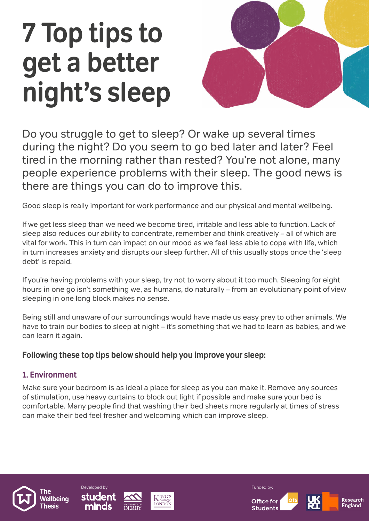# 7 Top tips to get a better night's sleep



Do you struggle to get to sleep? Or wake up several times during the night? Do you seem to go bed later and later? Feel tired in the morning rather than rested? You're not alone, many people experience problems with their sleep. The good news is there are things you can do to improve this.

Good sleep is really important for work performance and our physical and mental wellbeing.

If we get less sleep than we need we become tired, irritable and less able to function. Lack of sleep also reduces our ability to concentrate, remember and think creatively – all of which are vital for work. This in turn can impact on our mood as we feel less able to cope with life, which in turn increases anxiety and disrupts our sleep further. All of this usually stops once the 'sleep debt' is repaid.

If you're having problems with your sleep, try not to worry about it too much. Sleeping for eight hours in one go isn't something we, as humans, do naturally – from an evolutionary point of view sleeping in one long block makes no sense.

Being still and unaware of our surroundings would have made us easy prey to other animals. We have to train our bodies to sleep at night – it's something that we had to learn as babies, and we can learn it again.

# Following these top tips below should help you improve your sleep:

# 1. Environment

Make sure your bedroom is as ideal a place for sleep as you can make it. Remove any sources of stimulation, use heavy curtains to block out light if possible and make sure your bed is comfortable. Many people find that washing their bed sheets more regularly at times of stress can make their bed feel fresher and welcoming which can improve sleep.











Research **England**